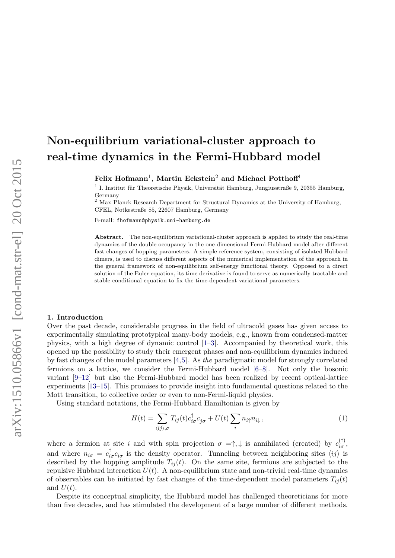# Non-equilibrium variational-cluster approach to real-time dynamics in the Fermi-Hubbard model

Felix Hofmann<sup>1</sup>, Martin Eckstein<sup>2</sup> and Michael Potthoff<sup>1</sup>

<sup>1</sup> I. Institut für Theoretische Physik, Universität Hamburg, Jungiusstraße 9, 20355 Hamburg, Germany

<sup>2</sup> Max Planck Research Department for Structural Dynamics at the University of Hamburg, CFEL, Notkestraße 85, 22607 Hamburg, Germany

E-mail: fhofmann@physik.uni-hamburg.de

Abstract. The non-equilibrium variational-cluster approach is applied to study the real-time dynamics of the double occupancy in the one-dimensional Fermi-Hubbard model after different fast changes of hopping parameters. A simple reference system, consisting of isolated Hubbard dimers, is used to discuss different aspects of the numerical implementation of the approach in the general framework of non-equilibrium self-energy functional theory. Opposed to a direct solution of the Euler equation, its time derivative is found to serve as numerically tractable and stable conditional equation to fix the time-dependent variational parameters.

#### 1. Introduction

Over the past decade, considerable progress in the field of ultracold gases has given access to experimentally simulating prototypical many-body models, e.g., known from condensed-matter physics, with a high degree of dynamic control [\[1–](#page-13-0)[3\]](#page-13-1). Accompanied by theoretical work, this opened up the possibility to study their emergent phases and non-equilibrium dynamics induced by fast changes of the model parameters [\[4,](#page-13-2)[5\]](#page-13-3). As the paradigmatic model for strongly correlated fermions on a lattice, we consider the Fermi-Hubbard model [\[6–](#page-13-4)[8\]](#page-13-5). Not only the bosonic variant [\[9–](#page-13-6)[12\]](#page-13-7) but also the Fermi-Hubbard model has been realized by recent optical-lattice experiments [\[13](#page-13-8)[–15\]](#page-13-9). This promises to provide insight into fundamental questions related to the Mott transition, to collective order or even to non-Fermi-liquid physics.

Using standard notations, the Fermi-Hubbard Hamiltonian is given by

$$
H(t) = \sum_{\langle ij \rangle,\sigma} T_{ij}(t) c_{i\sigma}^{\dagger} c_{j\sigma} + U(t) \sum_{i} n_{i\uparrow} n_{i\downarrow}, \qquad (1)
$$

where a fermion at site i and with spin projection  $\sigma = \uparrow, \downarrow$  is annihilated (created) by  $c_{i\sigma}^{(\dagger)}$ , and where  $n_{i\sigma} = c_{i\sigma}^{\dagger} c_{i\sigma}$  is the density operator. Tunneling between neighboring sites  $\langle ij \rangle$  is described by the hopping amplitude  $T_{ij}(t)$ . On the same site, fermions are subjected to the repulsive Hubbard interaction  $U(t)$ . A non-equilibrium state and non-trivial real-time dynamics of observables can be initiated by fast changes of the time-dependent model parameters  $T_{ii}(t)$ and  $U(t)$ .

Despite its conceptual simplicity, the Hubbard model has challenged theoreticians for more than five decades, and has stimulated the development of a large number of different methods.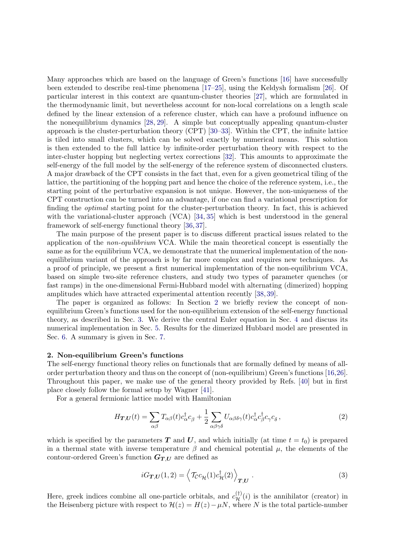Many approaches which are based on the language of Green's functions [\[16\]](#page-13-10) have successfully been extended to describe real-time phenomena [\[17–](#page-13-11)[25\]](#page-13-12), using the Keldysh formalism [\[26\]](#page-13-13). Of particular interest in this context are quantum-cluster theories [\[27\]](#page-13-14), which are formulated in the thermodynamic limit, but nevertheless account for non-local correlations on a length scale defined by the linear extension of a reference cluster, which can have a profound influence on the nonequilibrium dynamics [\[28,](#page-13-15) [29\]](#page-13-16). A simple but conceptually appealing quantum-cluster approach is the cluster-perturbation theory (CPT) [\[30–](#page-13-17)[33\]](#page-13-18). Within the CPT, the infinite lattice is tiled into small clusters, which can be solved exactly by numerical means. This solution is then extended to the full lattice by infinite-order perturbation theory with respect to the inter-cluster hopping but neglecting vertex corrections [\[32\]](#page-13-19). This amounts to approximate the self-energy of the full model by the self-energy of the reference system of disconnected clusters. A major drawback of the CPT consists in the fact that, even for a given geometrical tiling of the lattice, the partitioning of the hopping part and hence the choice of the reference system, i.e., the starting point of the perturbative expansion is not unique. However, the non-uniqueness of the CPT construction can be turned into an advantage, if one can find a variational prescription for finding the optimal starting point for the cluster-perturbation theory. In fact, this is achieved with the variational-cluster approach (VCA) [\[34,](#page-13-20) [35\]](#page-13-21) which is best understood in the general framework of self-energy functional theory [\[36,](#page-14-0) [37\]](#page-14-1).

The main purpose of the present paper is to discuss different practical issues related to the application of the non-equilibrium VCA. While the main theoretical concept is essentially the same as for the equilibrium VCA, we demonstrate that the numerical implementation of the nonequilibrium variant of the approach is by far more complex and requires new techniques. As a proof of principle, we present a first numerical implementation of the non-equilibrium VCA, based on simple two-site reference clusters, and study two types of parameter quenches (or fast ramps) in the one-dimensional Fermi-Hubbard model with alternating (dimerized) hopping amplitudes which have attracted experimental attention recently [\[38,](#page-14-2) [39\]](#page-14-3).

The paper is organized as follows: In Section [2](#page-1-0) we briefly review the concept of nonequilibrium Green's functions used for the non-equilibrium extension of the self-energy functional theory, as described in Sec. [3.](#page-2-0) We derive the central Euler equation in Sec. [4](#page-4-0) and discuss its numerical implementation in Sec. [5.](#page-6-0) Results for the dimerized Hubbard model are presented in Sec. [6.](#page-9-0) A summary is given in Sec. [7.](#page-12-0)

#### <span id="page-1-0"></span>2. Non-equilibrium Green's functions

The self-energy functional theory relies on functionals that are formally defined by means of allorder perturbation theory and thus on the concept of (non-equilibrium) Green's functions [\[16,](#page-13-10)[26\]](#page-13-13). Throughout this paper, we make use of the general theory provided by Refs. [\[40\]](#page-14-4) but in first place closely follow the formal setup by Wagner [\[41\]](#page-14-5).

For a general fermionic lattice model with Hamiltonian

$$
H_{\boldsymbol{T},\boldsymbol{U}}(t) = \sum_{\alpha\beta} T_{\alpha\beta}(t) c_{\alpha}^{\dagger} c_{\beta} + \frac{1}{2} \sum_{\alpha\beta\gamma\delta} U_{\alpha\beta\delta\gamma}(t) c_{\alpha}^{\dagger} c_{\beta}^{\dagger} c_{\gamma} c_{\delta} , \qquad (2)
$$

which is specified by the parameters T and U, and which initially (at time  $t = t_0$ ) is prepared in a thermal state with inverse temperature  $\beta$  and chemical potential  $\mu$ , the elements of the contour-ordered Green's function  $G_{T,U}$  are defined as

$$
iG_{T,U}(1,2) = \left\langle \mathcal{T}_{\mathcal{C}} c_{\mathcal{H}}(1) c_{\mathcal{H}}^{\dagger}(2) \right\rangle_{T,U} . \tag{3}
$$

Here, greek indices combine all one-particle orbitals, and  $c_{\mathcal{H}}^{(\dagger)}(i)$  is the annihilator (creator) in the Heisenberg picture with respect to  $\mathcal{H}(z) = H(z) - \mu N$ , where N is the total particle-number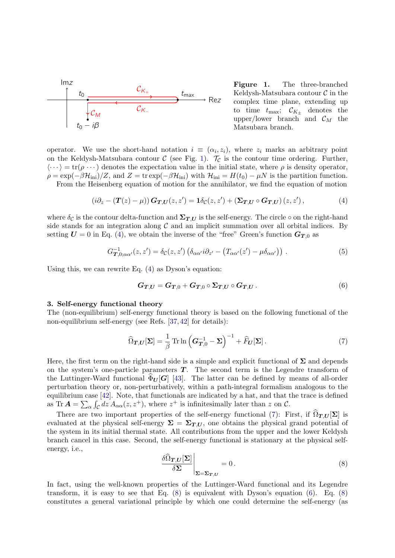

<span id="page-2-1"></span>Figure 1. The three-branched Keldysh-Matsubara contour  $\mathcal C$  in the complex time plane, extending up to time  $t_{\text{max}}$ ;  $\mathcal{C}_{K_{\pm}}$  denotes the upper/lower branch and  $\mathcal{C}_M$  the Matsubara branch.

operator. We use the short-hand notation  $i \equiv (\alpha_i, z_i)$ , where  $z_i$  marks an arbitrary point on the Keldysh-Matsubara contour  $\mathcal C$  (see Fig. [1\)](#page-2-1).  $\mathcal T_{\mathcal C}$  is the contour time ordering. Further,  $\langle \cdots \rangle = \text{tr}(\rho \cdots)$  denotes the expectation value in the initial state, where  $\rho$  is density operator,  $\rho = \exp(-\beta \mathcal{H}_{\text{ini}})/Z$ , and  $Z = \text{tr} \exp(-\beta \mathcal{H}_{\text{ini}})$  with  $\mathcal{H}_{\text{ini}} = H(t_0) - \mu N$  is the partition function. From the Heisenberg equation of motion for the annihilator, we find the equation of motion

<span id="page-2-2"></span>
$$
\left(i\partial_z - (\boldsymbol{T}(z) - \mu)\right)\boldsymbol{G}_{\boldsymbol{T},\boldsymbol{U}}(z,z') = \mathbf{1}\delta_{\mathcal{C}}(z,z') + (\boldsymbol{\Sigma}_{\boldsymbol{T},\boldsymbol{U}}\circ\boldsymbol{G}_{\boldsymbol{T},\boldsymbol{U}})(z,z'),\tag{4}
$$

where  $\delta_c$  is the contour delta-function and  $\Sigma_{T,U}$  is the self-energy. The circle  $\circ$  on the right-hand side stands for an integration along  $\mathcal C$  and an implicit summation over all orbital indices. By setting  $U = 0$  in Eq. [\(4\)](#page-2-2), we obtain the inverse of the "free" Green's function  $G_{T,0}$  as

<span id="page-2-6"></span>
$$
G_{\mathbf{T},0;\alpha\alpha'}^{-1}(z,z') = \delta_{\mathcal{C}}(z,z') \left( \delta_{\alpha\alpha'} i \partial_{z'} - \left( T_{\alpha\alpha'}(z') - \mu \delta_{\alpha\alpha'} \right) \right) . \tag{5}
$$

Using this, we can rewrite Eq. [\(4\)](#page-2-2) as Dyson's equation:

<span id="page-2-5"></span>
$$
G_{T,U}=G_{T,0}+G_{T,0}\circ\Sigma_{T,U}\circ G_{T,U}.
$$
\n
$$
(6)
$$

# <span id="page-2-0"></span>3. Self-energy functional theory

The (non-equilibrium) self-energy functional theory is based on the following functional of the non-equilibrium self-energy (see Refs. [\[37,](#page-14-1) [42\]](#page-14-6) for details):

<span id="page-2-3"></span>
$$
\widehat{\Omega}_{T,U}[\Sigma] = \frac{1}{\beta} \operatorname{Tr} \ln \left( G_{T,0}^{-1} - \Sigma \right)^{-1} + \widehat{F}_U[\Sigma]. \tag{7}
$$

Here, the first term on the right-hand side is a simple and explicit functional of  $\Sigma$  and depends on the system's one-particle parameters  $T$ . The second term is the Legendre transform of the Luttinger-Ward functional  $\widehat{\Phi}_{\boldsymbol{U}}[\boldsymbol{G}]$  [\[43\]](#page-14-7). The latter can be defined by means of all-order perturbation theory or, non-perturbatively, within a path-integral formalism analogous to the equilibrium case [\[42\]](#page-14-6). Note, that functionals are indicated by a hat, and that the trace is defined as Tr  $\mathbf{A} = \sum_{\alpha} \int_{\mathcal{C}} dz A_{\alpha\alpha}(z, z^+)$ , where  $z^+$  is infinitesimally later than z on  $\mathcal{C}$ .

There are two important properties of the self-energy functional [\(7\)](#page-2-3): First, if  $\Omega_{T,U}[\Sigma]$  is evaluated at the physical self-energy  $\Sigma = \Sigma_{T,U}$ , one obtains the physical grand potential of the system in its initial thermal state. All contributions from the upper and the lower Keldysh branch cancel in this case. Second, the self-energy functional is stationary at the physical selfenergy, i.e.,

<span id="page-2-4"></span>
$$
\frac{\delta \hat{\Omega}_{T,U}[\Sigma]}{\delta \Sigma} \bigg|_{\Sigma = \Sigma_{T,U}} = 0.
$$
\n(8)

In fact, using the well-known properties of the Luttinger-Ward functional and its Legendre transform, it is easy to see that Eq.  $(8)$  is equivalent with Dyson's equation  $(6)$ . Eq.  $(8)$ constitutes a general variational principle by which one could determine the self-energy (as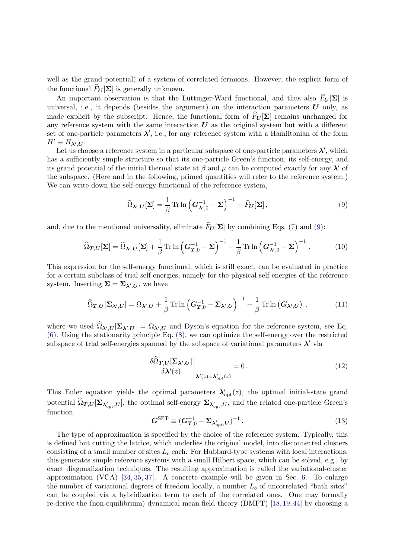well as the grand potential) of a system of correlated fermions. However, the explicit form of the functional  $F_U[\Sigma]$  is generally unknown.

An important observation is that the Luttinger-Ward functional, and thus also  $\widehat{F}_{\boldsymbol{U}}[\boldsymbol{\Sigma}]$  is universal, i.e., it depends (besides the argument) on the interaction parameters  $\boldsymbol{U}$  only, as made explicit by the subscript. Hence, the functional form of  $\widehat{F}_U[\Sigma]$  remains unchanged for any reference system with the same interaction  $U$  as the original system but with a different set of one-particle parameters  $\lambda'$ , i.e., for any reference system with a Hamiltonian of the form  $H' \equiv H_{\lambda',\boldsymbol{U}}$ .

Let us choose a reference system in a particular subspace of one-particle parameters  $\lambda'$ , which has a sufficiently simple structure so that its one-particle Green's function, its self-energy, and its grand potential of the initial thermal state at  $\beta$  and  $\mu$  can be computed exactly for any  $\lambda'$  of the subspace. (Here and in the following, primed quantities will refer to the reference system.) We can write down the self-energy functional of the reference system,

<span id="page-3-0"></span>
$$
\widehat{\Omega}_{\lambda',U}[\Sigma] = \frac{1}{\beta} \operatorname{Tr} \ln \left( G_{\lambda',0}^{-1} - \Sigma \right)^{-1} + \widehat{F}_U[\Sigma], \tag{9}
$$

and, due to the mentioned universality, eliminate  $\widehat{F}_{\boldsymbol{U}}[\boldsymbol{\Sigma}]$  by combining Eqs. [\(7\)](#page-2-3) and [\(9\)](#page-3-0):

$$
\widehat{\Omega}_{T,U}[\Sigma] = \widehat{\Omega}_{\lambda',U}[\Sigma] + \frac{1}{\beta} \operatorname{Tr} \ln \left( G_{T,0}^{-1} - \Sigma \right)^{-1} - \frac{1}{\beta} \operatorname{Tr} \ln \left( G_{\lambda',0}^{-1} - \Sigma \right)^{-1} . \tag{10}
$$

This expression for the self-energy functional, which is still exact, can be evaluated in practice for a certain subclass of trial self-energies, namely for the physical self-energies of the reference system. Inserting  $\Sigma = \Sigma_{\lambda',U}$ , we have

$$
\widehat{\Omega}_{T,U}[\Sigma_{\lambda',U}] = \Omega_{\lambda',U} + \frac{1}{\beta} \operatorname{Tr} \ln \left( G_{T,0}^{-1} - \Sigma_{\lambda',U} \right)^{-1} - \frac{1}{\beta} \operatorname{Tr} \ln \left( G_{\lambda',U} \right) , \tag{11}
$$

where we used  $\Omega_{\lambda',U}[\Sigma_{\lambda',U}] = \Omega_{\lambda',U}$  and Dyson's equation for the reference system, see Eq. [\(6\)](#page-2-5). Using the stationarity principle Eq. [\(8\)](#page-2-4), we can optimize the self-energy over the restricted subspace of trial self-energies spanned by the subspace of variational parameters  $\lambda'$  via

<span id="page-3-1"></span>
$$
\frac{\delta\widehat{\Omega}_{T,U}[\Sigma_{\lambda',U}]}{\delta\lambda'(z)}\Big|_{\lambda'(z)=\lambda'_{\rm opt}(z)} = 0.
$$
\n(12)

This Euler equation yields the optimal parameters  $\lambda'_{opt}(z)$ , the optimal initial-state grand potential  $\Omega_{T,U}[\Sigma_{\lambda'_{\text{opt}},U}]$ , the optimal self-energy  $\Sigma_{\lambda'_{\text{opt}},U}$ , and the related one-particle Green's function

<span id="page-3-2"></span>
$$
\mathbf{G}^{\rm SFT} \equiv (\mathbf{G}_{\mathbf{T},0}^{-1} - \boldsymbol{\Sigma}_{\lambda'_{\rm opt},\mathbf{U}})^{-1} \,. \tag{13}
$$

The type of approximation is specified by the choice of the reference system. Typically, this is defined but cutting the lattice, which underlies the original model, into disconnected clusters consisting of a small number of sites  $L_c$  each. For Hubbard-type systems with local interactions, this generates simple reference systems with a small Hilbert space, which can be solved, e.g., by exact diagonalization techniques. The resulting approximation is called the variational-cluster approximation (VCA) [\[34,](#page-13-20) [35,](#page-13-21) [37\]](#page-14-1). A concrete example will be given in Sec. [6.](#page-9-0) To enlarge the number of variational degrees of freedom locally, a number  $L<sub>b</sub>$  of uncorrelated "bath sites" can be coupled via a hybridization term to each of the correlated ones. One may formally re-derive the (non-equilibrium) dynamical mean-field theory (DMFT) [\[18,](#page-13-22) [19,](#page-13-23) [44\]](#page-14-8) by choosing a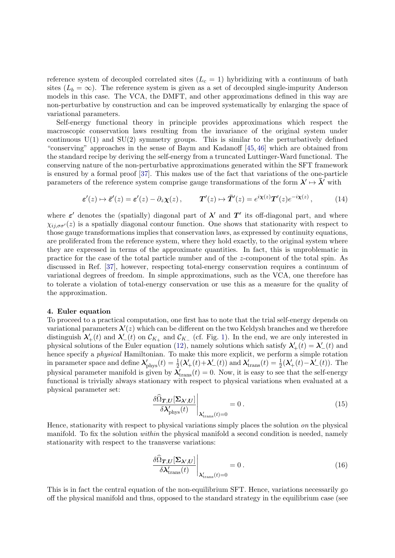reference system of decoupled correlated sites  $(L<sub>c</sub> = 1)$  hybridizing with a continuum of bath sites  $(L_b = \infty)$ . The reference system is given as a set of decoupled single-impurity Anderson models in this case. The VCA, the DMFT, and other approximations defined in this way are non-perturbative by construction and can be improved systematically by enlarging the space of variational parameters.

Self-energy functional theory in principle provides approximations which respect the macroscopic conservation laws resulting from the invariance of the original system under continuous  $U(1)$  and  $SU(2)$  symmetry groups. This is similar to the perturbatively defined "conserving" approaches in the sense of Baym and Kadanoff [\[45,](#page-14-9) [46\]](#page-14-10) which are obtained from the standard recipe by deriving the self-energy from a truncated Luttinger-Ward functional. The conserving nature of the non-perturbative approximations generated within the SFT framework is ensured by a formal proof [\[37\]](#page-14-1). This makes use of the fact that variations of the one-particle parameters of the reference system comprise gauge transformations of the form  $\lambda' \mapsto \bar{\lambda'}$  with

$$
\varepsilon'(z) \mapsto \overline{\varepsilon}'(z) = \varepsilon'(z) - \partial_z \chi(z), \qquad \mathbf{T}'(z) \mapsto \overline{\mathbf{T}}'(z) = e^{i\chi(z)} \mathbf{T}'(z) e^{-i\chi(z)}, \tag{14}
$$

where  $\varepsilon'$  denotes the (spatially) diagonal part of  $\lambda'$  and  $T'$  its off-diagonal part, and where  $\chi_{ii,\sigma\sigma'}(z)$  is a spatially diagonal contour function. One shows that stationarity with respect to those gauge transformations implies that conservation laws, as expressed by continuity equations, are proliferated from the reference system, where they hold exactly, to the original system where they are expressed in terms of the approximate quantities. In fact, this is unproblematic in practice for the case of the total particle number and of the z-component of the total spin. As discussed in Ref. [\[37\]](#page-14-1), however, respecting total-energy conservation requires a continuum of variational degrees of freedom. In simple approximations, such as the VCA, one therefore has to tolerate a violation of total-energy conservation or use this as a measure for the quality of the approximation.

## <span id="page-4-0"></span>4. Euler equation

To proceed to a practical computation, one first has to note that the trial self-energy depends on variational parameters  $\lambda'(z)$  which can be different on the two Keldysh branches and we therefore distinguish  $\lambda'_{+}(t)$  and  $\lambda'_{-}(t)$  on  $\mathcal{C}_{K_{+}}$  and  $\mathcal{C}_{K_{-}}$  (cf. Fig. [1\)](#page-2-1). In the end, we are only interested in physical solutions of the Euler equation [\(12\)](#page-3-1), namely solutions which satisfy  $\lambda'_{+}(t) = \lambda'_{-}(t)$  and hence specify a physical Hamiltonian. To make this more explicit, we perform a simple rotation in parameter space and define  $\lambda'_{\rm phys}(t) = \frac{1}{2}(\lambda'_+(t)+\lambda'_-(t))$  and  $\lambda'_{\rm trans}(t) = \frac{1}{2}(\lambda'_+(t)-\lambda'_-(t))$ . The physical parameter manifold is given by  $\lambda'_{trans}(t) = 0$ . Now, it is easy to see that the self-energy functional is trivially always stationary with respect to physical variations when evaluated at a physical parameter set:

$$
\frac{\delta\hat{\Omega}_{T,U}[\Sigma_{\lambda',U}]}{\delta\lambda'_{\text{phys}}(t)}\Big|_{\lambda'_{\text{trans}}(t)=0} = 0.
$$
\n(15)

Hence, stationarity with respect to physical variations simply places the solution on the physical manifold. To fix the solution *within* the physical manifold a second condition is needed, namely stationarity with respect to the transverse variations:

<span id="page-4-1"></span>
$$
\frac{\delta\hat{\Omega}_{T,U}[\Sigma_{\lambda',U}]}{\delta\lambda'_{\text{trans}}(t)}\Big|_{\lambda'_{\text{trans}}(t)=0} = 0.
$$
\n(16)

This is in fact the central equation of the non-equilibrium SFT. Hence, variations necessarily go off the physical manifold and thus, opposed to the standard strategy in the equilibrium case (see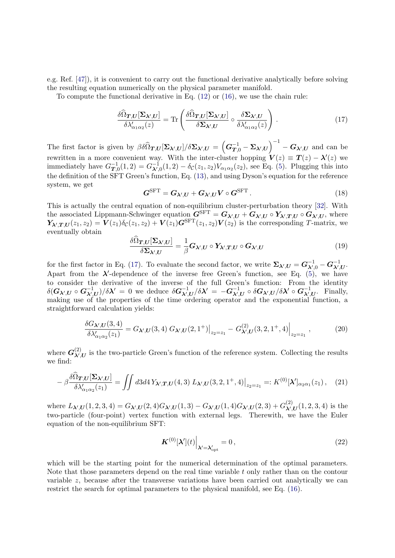e.g. Ref. [\[47\]](#page-14-11)), it is convenient to carry out the functional derivative analytically before solving the resulting equation numerically on the physical parameter manifold.

To compute the functional derivative in Eq. [\(12\)](#page-3-1) or [\(16\)](#page-4-1), we use the chain rule:

<span id="page-5-0"></span>
$$
\frac{\delta\widehat{\Omega}_{T,U}[\Sigma_{\lambda',U}]}{\delta\lambda'_{\alpha_1\alpha_2}(z)} = \text{Tr}\left(\frac{\delta\widehat{\Omega}_{T,U}[\Sigma_{\lambda',U}]}{\delta\Sigma_{\lambda',U}} \circ \frac{\delta\Sigma_{\lambda',U}}{\delta\lambda'_{\alpha_1\alpha_2}(z)}\right). \tag{17}
$$

The first factor is given by  $\beta \delta \widehat{\Omega}_{T,U} [\Sigma_{\lambda',U}] / \delta \Sigma_{\lambda',U} = \left( G_{T,0}^{-1} - \Sigma_{\lambda',U} \right)^{-1} - G_{\lambda',U}$  and can be rewritten in a more convenient way. With the inter-cluster hopping  $V(z) \equiv T(z) - \lambda'(z)$  we immediately have  $G_T^{-1}$  $T_{T,0}^{-1}(1,2) = G_{\lambda',0}^{-1}(1,2) - \delta_{\mathcal{C}}(z_1, z_2) V_{\alpha_1 \alpha_2}(z_2)$ , see Eq. [\(5\)](#page-2-6). Plugging this into the definition of the SFT Green's function, Eq. [\(13\)](#page-3-2), and using Dyson's equation for the reference system, we get

<span id="page-5-3"></span>
$$
G^{\rm SFT} = G_{\lambda',U} + G_{\lambda',U} V \circ G^{\rm SFT}.
$$
 (18)

This is actually the central equation of non-equilibrium cluster-perturbation theory [\[32\]](#page-13-19). With the associated Lippmann-Schwinger equation  $G^{\text{SFT}} = G_{\lambda',U} + G_{\lambda',U} \circ Y_{\lambda',T,U} \circ G_{\lambda',U}$ , where  $\mathbf{Y}_{\lambda',T,U}(z_1,z_2)=\mathbf{V}(z_1)\delta_{\mathcal{C}}(z_1,z_2)+\mathbf{V}(z_1)\mathbf{G}^{\text{SFT}}(z_1,z_2)\mathbf{V}(z_2)$  is the corresponding T-matrix, we eventually obtain

$$
\frac{\delta\Omega_{T,U}[\Sigma_{\lambda',U}]}{\delta\Sigma_{\lambda',U}} = \frac{1}{\beta} \mathbf{G}_{\lambda',U} \circ \mathbf{Y}_{\lambda',T,U} \circ \mathbf{G}_{\lambda',U}
$$
(19)

for the first factor in Eq. [\(17\)](#page-5-0). To evaluate the second factor, we write  $\Sigma_{\lambda',U} = G_{\lambda',0}^{-1} - G_{\lambda',U}^{-1}$ . Apart from the  $\lambda'$ -dependence of the inverse free Green's function, see Eq. [\(5\)](#page-2-6), we have to consider the derivative of the inverse of the full Green's function: From the identity  $\delta(\mathbf{G}_{\boldsymbol{\lambda}',U}\circ \mathbf{G}_{\boldsymbol{\lambda}',U}^{-1})/\delta \boldsymbol{\lambda}'\,=\,0$  we deduce  $\delta\mathbf{G}_{\boldsymbol{\lambda}',U}^{-1}/\delta \boldsymbol{\lambda}'\,=\,-\mathbf{G}_{\boldsymbol{\lambda}',U}^{-1}\circ \delta\mathbf{G}_{\boldsymbol{\lambda}',U}/\delta \boldsymbol{\lambda}'\circ \mathbf{G}_{\boldsymbol{\lambda}',U}^{-1}.$  Finally, making use of the properties of the time ordering operator and the exponential function, a straightforward calculation yields:

$$
\frac{\delta G_{\lambda',U}(3,4)}{\delta \lambda'_{\alpha_1 \alpha_2}(z_1)} = G_{\lambda',U}(3,4) \ G_{\lambda',U}(2,1^+)|_{z_2=z_1} - G_{\lambda',U}^{(2)}(3,2,1^+,4)|_{z_2=z_1} \ , \tag{20}
$$

where  $G_{\lambda'}^{(2)}$  $\lambda$ ', U is the two-particle Green's function of the reference system. Collecting the results we find:

<span id="page-5-2"></span>
$$
-\beta \frac{\delta \hat{\Omega}_{\boldsymbol{T},\boldsymbol{U}}[\boldsymbol{\Sigma}_{\boldsymbol{\lambda}',\boldsymbol{U}}]}{\delta \lambda'_{\alpha_1 \alpha_2}(z_1)} = \iint d3d4 \, Y_{\boldsymbol{\lambda}',\boldsymbol{T},\boldsymbol{U}}(4,3) \, L_{\boldsymbol{\lambda}',\boldsymbol{U}}(3,2,1^+,4) \big|_{z_2=z_1} =: K^{(0)}[\boldsymbol{\lambda}']_{\alpha_2 \alpha_1}(z_1), \quad (21)
$$

where  $L_{\lambda',U}(1, 2, 3, 4) = G_{\lambda',U}(2, 4)G_{\lambda',U}(1, 3) - G_{\lambda',U}(1, 4)G_{\lambda',U}(2, 3) + G_{\lambda',U}^{(2)}(2, 3)$  $\chi^{(2)}_{\lambda',U}(1,2,3,4)$  is the two-particle (four-point) vertex function with external legs. Therewith, we have the Euler equation of the non-equilibrium SFT:

<span id="page-5-1"></span>
$$
\left. \mathbf{K}^{(0)}[\boldsymbol{\lambda}'](t) \right|_{\boldsymbol{\lambda}' = \boldsymbol{\lambda}'_{\rm opt}} = 0, \tag{22}
$$

which will be the starting point for the numerical determination of the optimal parameters. Note that those parameters depend on the real time variable t only rather than on the contour variable  $z$ , because after the transverse variations have been carried out analytically we can restrict the search for optimal parameters to the physical manifold, see Eq. [\(16\)](#page-4-1).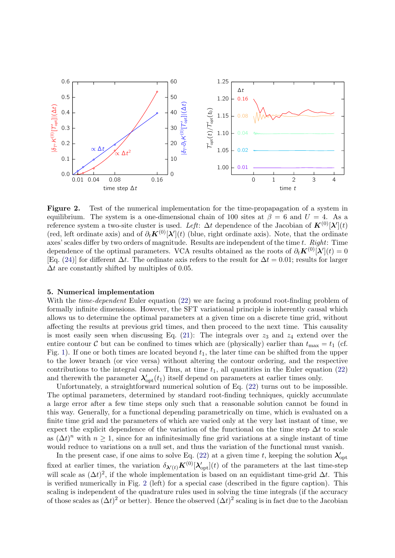

<span id="page-6-1"></span>Figure 2. Test of the numerical implementation for the time-propapagation of a system in equilibrium. The system is a one-dimensional chain of 100 sites at  $\beta = 6$  and  $U = 4$ . As a reference system a two-site cluster is used. Left:  $\Delta t$  dependence of the Jacobian of  $K^{(0)}[\lambda'](t)$ (red, left ordinate axis) and of  $\partial_t \mathbf{K}^{(0)}[\lambda](t)$  (blue, right ordinate axis). Note, that the ordinate axes' scales differ by two orders of magnitude. Results are independent of the time  $t$ .  $Right$ : Time dependence of the optimal parameters. VCA results obtained as the roots of  $\partial_t \mathbf{K}^{(0)}[\lambda](t) = 0$ [Eq. [\(24\)](#page-7-0)] for different  $\Delta t$ . The ordinate axis refers to the result for  $\Delta t = 0.01$ ; results for larger  $\Delta t$  are constantly shifted by multiples of 0.05.

# <span id="page-6-0"></span>5. Numerical implementation

With the *time-dependent* Euler equation [\(22\)](#page-5-1) we are facing a profound root-finding problem of formally infinite dimensions. However, the SFT variational principle is inherently causal which allows us to determine the optimal parameters at a given time on a discrete time grid, without affecting the results at previous grid times, and then proceed to the next time. This causality is most easily seen when discussing Eq. [\(21\)](#page-5-2): The integrals over  $z_3$  and  $z_4$  extend over the entire contour C but can be confined to times which are (physically) earlier than  $t_{\text{max}} = t_1$  (cf. Fig. [1\)](#page-2-1). If one or both times are located beyond  $t_1$ , the later time can be shifted from the upper to the lower branch (or vice versa) without altering the contour ordering, and the respective contributions to the integral cancel. Thus, at time  $t_1$ , all quantities in the Euler equation [\(22\)](#page-5-1) and therewith the parameter  $\lambda'_{opt}(t_1)$  itself depend on parameters at earlier times only.

Unfortunately, a straightforward numerical solution of Eq. [\(22\)](#page-5-1) turns out to be impossible. The optimal parameters, determined by standard root-finding techniques, quickly accumulate a large error after a few time steps only such that a reasonable solution cannot be found in this way. Generally, for a functional depending parametrically on time, which is evaluated on a finite time grid and the parameters of which are varied only at the very last instant of time, we expect the explicit dependence of the variation of the functional on the time step  $\Delta t$  to scale as  $(\Delta t)^n$  with  $n \geq 1$ , since for an infinitesimally fine grid variations at a single instant of time would reduce to variations on a null set, and thus the variation of the functional must vanish.

In the present case, if one aims to solve Eq. [\(22\)](#page-5-1) at a given time t, keeping the solution  $\lambda'_{opt}$ fixed at earlier times, the variation  $\delta_{\lambda'(t)} K^{(0)}[\lambda'_{opt}](t)$  of the parameters at the last time-step will scale as  $(\Delta t)^2$ , if the whole implementation is based on an equidistant time-grid  $\Delta t$ . This is verified numerically in Fig. [2](#page-6-1) (left) for a special case (described in the figure caption). This scaling is independent of the quadrature rules used in solving the time integrals (if the accuracy of those scales as  $(\Delta t)^2$  or better). Hence the observed  $(\Delta t)^2$  scaling is in fact due to the Jacobian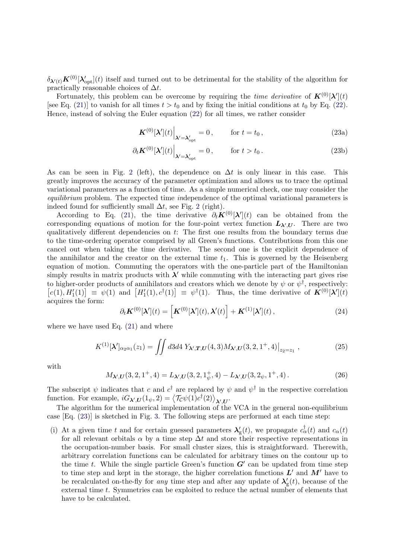$\delta_{\lambda'(t)} K^{(0)}[\lambda'_{\text{opt}}](t)$  itself and turned out to be detrimental for the stability of the algorithm for practically reasonable choices of  $\Delta t$ .

Fortunately, this problem can be overcome by requiring the *time derivative* of  $\mathbf{K}^{(0)}[\lambda'](t)$ [see Eq. [\(21\)](#page-5-2)] to vanish for all times  $t > t_0$  and by fixing the initial conditions at  $t_0$  by Eq. [\(22\)](#page-5-1). Hence, instead of solving the Euler equation [\(22\)](#page-5-1) for all times, we rather consider

<span id="page-7-3"></span><span id="page-7-1"></span>
$$
\mathbf{K}^{(0)}[\boldsymbol{\lambda}'](t)\Big|_{\boldsymbol{\lambda}'=\boldsymbol{\lambda}'_{\rm opt}}=0\,,\qquad\text{for }t=t_0\,,\tag{23a}
$$

$$
\partial_t \mathbf{K}^{(0)}[\boldsymbol{\lambda}'](t) \Big|_{\boldsymbol{\lambda}' = \boldsymbol{\lambda}'_{\rm opt}} = 0, \qquad \text{for } t > t_0.
$$
 (23b)

As can be seen in Fig. [2](#page-6-1) (left), the dependence on  $\Delta t$  is only linear in this case. This greatly improves the accuracy of the parameter optimization and allows us to trace the optimal variational parameters as a function of time. As a simple numerical check, one may consider the equilibrium problem. The expected time independence of the optimal variational parameters is indeed found for sufficiently small  $\Delta t$ , see Fig. [2](#page-6-1) (right).

According to Eq. [\(21\)](#page-5-2), the time derivative  $\partial_t \mathbf{K}^{(0)}[\lambda](t)$  can be obtained from the corresponding equations of motion for the four-point vertex function  $L_{\lambda',U}$ . There are two qualitatively different dependencies on t: The first one results from the boundary terms due to the time-ordering operator comprised by all Green's functions. Contributions from this one cancel out when taking the time derivative. The second one is the explicit dependence of the annihilator and the creator on the external time  $t_1$ . This is governed by the Heisenberg equation of motion. Commuting the operators with the one-particle part of the Hamiltonian simply results in matrix products with  $\lambda'$  while commuting with the interacting part gives rise to higher-order products of annihilators and creators which we denote by  $\psi$  or  $\psi^{\dagger}$ , respectively:  $[c(1), H'_1(1)] \equiv \psi(1)$  and  $[H'_1(1), c^{\dagger}(1)] \equiv \psi^{\dagger}(1)$ . Thus, the time derivative of  $\mathbf{K}^{(0)}[\lambda'](t)$ acquires the form:

<span id="page-7-0"></span>
$$
\partial_t \mathbf{K}^{(0)}[\boldsymbol{\lambda}'](t) = \left[ \mathbf{K}^{(0)}[\boldsymbol{\lambda}'](t), \boldsymbol{\lambda}'(t) \right] + \mathbf{K}^{(1)}[\boldsymbol{\lambda}'](t) , \qquad (24)
$$

where we have used Eq.  $(21)$  and where

<span id="page-7-2"></span>
$$
K^{(1)}[\lambda']_{\alpha_2\alpha_1}(z_1) = \iint d3d4 \ Y_{\lambda',T,U}(4,3) M_{\lambda',U}(3,2,1^+,4)|_{z_2=z_1},\tag{25}
$$

with

 $M_{\lambda',U}(3,2,1^+,4) = L_{\lambda',U}(3,2,1^+_{\psi})$  $_{\psi}^{+}$ , 4) –  $L_{\lambda',U}(3, 2_{\psi}, 1^{+}, 4)$ . (26)

The subscript  $\psi$  indicates that c and  $c^{\dagger}$  are replaced by  $\psi$  and  $\psi^{\dagger}$  in the respective correlation function. For example,  $iG_{\lambda',U}(1_{\psi}, 2) = \langle \mathcal{T}_{\mathcal{C}}\psi(1)c^{\dagger}(2)\rangle_{\lambda',U}$ .

The algorithm for the numerical implementation of the VCA in the general non-equilibrium case [Eq. [\(23\)](#page-7-1)] is sketched in Fig. [3.](#page-8-0) The following steps are performed at each time step:

(i) At a given time t and for certain guessed parameters  $\lambda'_{g}(t)$ , we propagate  $c_{\alpha}^{\dagger}(t)$  and  $c_{\alpha}(t)$ for all relevant orbitals  $\alpha$  by a time step  $\Delta t$  and store their respective representations in the occupation-number basis. For small cluster sizes, this is straightforward. Therewith, arbitrary correlation functions can be calculated for arbitrary times on the contour up to the time t. While the single particle Green's function  $G'$  can be updated from time step to time step and kept in the storage, the higher correlation functions  $L'$  and  $M'$  have to be recalculated on-the-fly for *any* time step and after any update of  $\lambda_{\rm g}'(t)$ , because of the external time t. Symmetries can be exploited to reduce the actual number of elements that have to be calculated.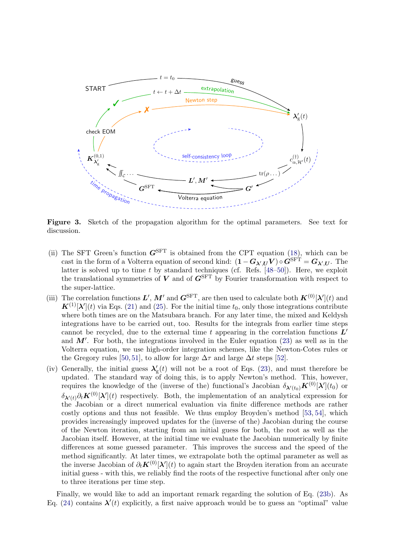

<span id="page-8-0"></span>Figure 3. Sketch of the propagation algorithm for the optimal parameters. See text for discussion.

- (ii) The SFT Green's function  $G<sup>STT</sup>$  is obtained from the CPT equation [\(18\)](#page-5-3), which can be cast in the form of a Volterra equation of second kind:  $(1 - G_{\lambda',U} V) \circ G^{\text{SFT}} = G_{\lambda',U}$ . The latter is solved up to time  $t$  by standard techniques (cf. Refs.  $[48-50]$  $[48-50]$ ). Here, we exploit the translational symmetries of  $V$  and of  $G^{\text{SFT}}$  by Fourier transformation with respect to the super-lattice.
- (iii) The correlation functions  $L', M'$  and  $G^{\text{SFT}}$ , are then used to calculate both  $K^{(0)}[\lambda'](t)$  and  $\mathbf{K}^{(1)}[\lambda'](t)$  via Eqs. [\(21\)](#page-5-2) and [\(25\)](#page-7-2). For the initial time  $t_0$ , only those integrations contribute where both times are on the Matsubara branch. For any later time, the mixed and Keldysh integrations have to be carried out, too. Results for the integrals from earlier time steps cannot be recycled, due to the external time t appearing in the correlation functions  $L'$ and  $M'$ . For both, the integrations involved in the Euler equation [\(23\)](#page-7-1) as well as in the Volterra equation, we use high-order integration schemes, like the Newton-Cotes rules or the Gregory rules [\[50,](#page-14-13) [51\]](#page-14-14), to allow for large  $\Delta \tau$  and large  $\Delta t$  steps [\[52\]](#page-14-15).
- (iv) Generally, the initial guess  $\lambda_{\rm g}'(t)$  will not be a root of Eqs. [\(23\)](#page-7-1), and must therefore be updated. The standard way of doing this, is to apply Newton's method. This, however, requires the knowledge of the (inverse of the) functional's Jacobian  $\delta_{\lambda'(t_0)} K^{(0)}[\lambda'](t_0)$  or  $\delta_{\lambda'(t)} \partial_t \mathbf{K}^{(0)}[\lambda](t)$  respectively. Both, the implementation of an analytical expression for the Jacobian or a direct numerical evaluation via finite difference methods are rather costly options and thus not feasible. We thus employ Broyden's method [\[53,](#page-14-16) [54\]](#page-14-17), which provides increasingly improved updates for the (inverse of the) Jacobian during the course of the Newton iteration, starting from an initial guess for both, the root as well as the Jacobian itself. However, at the initial time we evaluate the Jacobian numerically by finite differences at some guessed parameter. This improves the success and the speed of the method significantly. At later times, we extrapolate both the optimal parameter as well as the inverse Jacobian of  $\partial_t \boldsymbol{K}^{(0)}[\lambda'](t)$  to again start the Broyden iteration from an accurate initial guess - with this, we reliably find the roots of the respective functional after only one to three iterations per time step.

Finally, we would like to add an important remark regarding the solution of Eq. [\(23b\)](#page-7-3). As Eq. [\(24\)](#page-7-0) contains  $\lambda'(t)$  explicitly, a first naive approach would be to guess an "optimal" value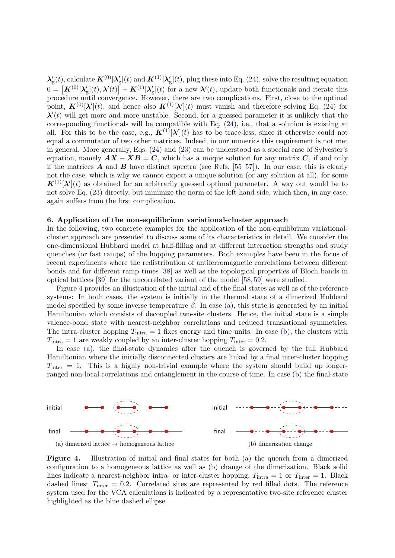$\lambda'_g(t)$ , calculate  $K^{(0)}[\lambda'_g](t)$  and  $K^{(1)}[\lambda'_g](t)$ , plug these into Eq. [\(24\)](#page-7-0), solve the resulting equation  $0 = \left[\mathbf{K}^{(0)}[\boldsymbol{\lambda}_{\mathrm{g}}](t),\boldsymbol{\lambda}'(t)\right] + \mathbf{K}^{(1)}[\boldsymbol{\lambda}_{\mathrm{g}}](t)$  for a new  $\boldsymbol{\lambda}'(t)$ , update both functionals and iterate this procedure until convergence. However, there are two complications. First, close to the optimal point,  $\mathbf{K}^{(0)}[\lambda'](t)$ , and hence also  $\mathbf{K}^{(1)}[\lambda'](t)$  must vanish and therefore solving Eq. [\(24\)](#page-7-0) for  $\lambda'(t)$  will get more and more unstable. Second, for a guessed parameter it is unlikely that the corresponding functionals will be compatible with Eq. [\(24\)](#page-7-0), i.e., that a solution is existing at all. For this to be the case, e.g.,  $\mathbf{K}^{(1)}[\lambda](t)$  has to be trace-less, since it otherwise could not equal a commutator of two other matrices. Indeed, in our numerics this requirement is not met in general. More generally, Eqs. [\(24\)](#page-7-0) and [\(23\)](#page-7-1) can be understood as a special case of Sylvester's equation, namely  $AX - XB = C$ , which has a unique solution for any matrix C, if and only if the matrices  $\bf{A}$  and  $\bf{B}$  have distinct spectra (see Refs. [\[55–](#page-14-18)[57\]](#page-14-19)). In our case, this is clearly not the case, which is why we cannot expect a unique solution (or any solution at all), for some  $\mathbf{K}^{(1)}[\lambda'](t)$  as obtained for an arbitrarily guessed optimal parameter. A way out would be to not solve Eq. [\(23\)](#page-7-1) directly, but minimize the norm of the left-hand side, which then, in any case, again suffers from the first complication.

# <span id="page-9-0"></span>6. Application of the non-equilibrium variational-cluster approach

In the following, two concrete examples for the application of the non-equilibrium variationalcluster approach are presented to discuss some of its characteristics in detail. We consider the one-dimensional Hubbard model at half-filling and at different interaction strengths and study quenches (or fast ramps) of the hopping parameters. Both examples have been in the focus of recent experiments where the redistribution of antiferromagnetic correlations between different bonds and for different ramp times [\[38\]](#page-14-2) as well as the topological properties of Bloch bands in optical lattices [\[39\]](#page-14-3) for the uncorrelated variant of the model [\[58,](#page-14-20) [59\]](#page-14-21) were studied.

Figure [4](#page-9-1) provides an illustration of the initial and of the final states as well as of the reference systems: In both cases, the system is initially in the thermal state of a dimerized Hubbard model specified by some inverse temperature  $\beta$ . In case [\(a\),](#page-9-2) this state is generated by an initial Hamiltonian which consists of decoupled two-site clusters. Hence, the initial state is a simple valence-bond state with nearest-neighbor correlations and reduced translational symmetries. The intra-cluster hopping  $T_{\text{intra}} = 1$  fixes energy and time units. In case [\(b\),](#page-9-3) the clusters with  $T_{\text{intra}} = 1$  are weakly coupled by an inter-cluster hopping  $T_{\text{inter}} = 0.2$ .

In case [\(a\),](#page-9-2) the final-state dynamics after the quench is governed by the full Hubbard Hamiltonian where the initially disconnected clusters are linked by a final inter-cluster hopping  $T_{\text{inter}} = 1$ . This is a highly non-trivial example where the system should build up longerranged non-local correlations and entanglement in the course of time. In case [\(b\)](#page-9-3) the final-state

<span id="page-9-2"></span>

<span id="page-9-3"></span><span id="page-9-1"></span>Figure 4. Illustration of initial and final states for both (a) the quench from a dimerized configuration to a homogeneous lattice as well as (b) change of the dimerization. Black solid lines indicate a nearest-neighbor intra- or inter-cluster hopping,  $T_{\text{intra}} = 1$  or  $T_{\text{inter}} = 1$ . Black dashed lines:  $T_{\text{inter}} = 0.2$ . Correlated sites are represented by red filled dots. The reference system used for the VCA calculations is indicated by a representative two-site reference cluster highlighted as the blue dashed ellipse.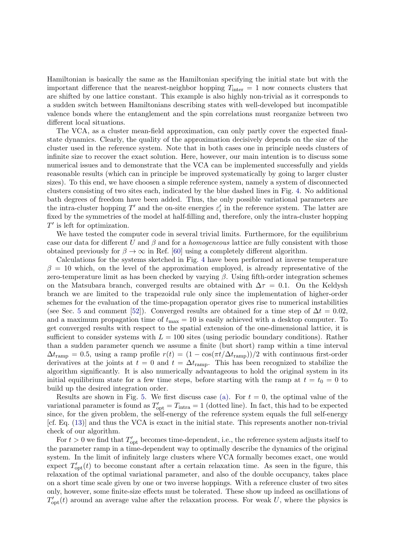Hamiltonian is basically the same as the Hamiltonian specifying the initial state but with the important difference that the nearest-neighbor hopping  $T_{\text{inter}} = 1$  now connects clusters that are shifted by one lattice constant. This example is also highly non-trivial as it corresponds to a sudden switch between Hamiltonians describing states with well-developed but incompatible valence bonds where the entanglement and the spin correlations must reorganize between two different local situations.

The VCA, as a cluster mean-field approximation, can only partly cover the expected finalstate dynamics. Clearly, the quality of the approximation decisively depends on the size of the cluster used in the reference system. Note that in both cases one in principle needs clusters of infinite size to recover the exact solution. Here, however, our main intention is to discuss some numerical issues and to demonstrate that the VCA can be implemented successfully and yields reasonable results (which can in principle be improved systematically by going to larger cluster sizes). To this end, we have choosen a simple reference system, namely a system of disconnected clusters consisting of two sites each, indicated by the blue dashed lines in Fig. [4.](#page-9-1) No additional bath degrees of freedom have been added. Thus, the only possible variational parameters are the intra-cluster hopping  $T'$  and the on-site energies  $\varepsilon_i'$  in the reference system. The latter are fixed by the symmetries of the model at half-filling and, therefore, only the intra-cluster hopping  $T'$  is left for optimization.

We have tested the computer code in several trivial limits. Furthermore, for the equilibrium case our data for different U and  $\beta$  and for a *homogeneous* lattice are fully consistent with those obtained previously for  $\beta \to \infty$  in Ref. [\[60\]](#page-14-22) using a completely different algorithm.

Calculations for the systems sketched in Fig. [4](#page-9-1) have been performed at inverse temperature  $\beta = 10$  which, on the level of the approximation employed, is already representative of the zero-temperature limit as has been checked by varying  $\beta$ . Using fifth-order integration schemes on the Matsubara branch, converged results are obtained with  $\Delta \tau = 0.1$ . On the Keldysh branch we are limited to the trapezoidal rule only since the implementation of higher-order schemes for the evaluation of the time-propagation operator gives rise to numerical instabilities (see Sec. [5](#page-6-0) and comment [\[52\]](#page-14-15)). Converged results are obtained for a time step of  $\Delta t = 0.02$ , and a maximum propagation time of  $t_{\text{max}} = 10$  is easily achieved with a desktop computer. To get converged results with respect to the spatial extension of the one-dimensional lattice, it is sufficient to consider systems with  $L = 100$  sites (using periodic boundary conditions). Rather than a sudden parameter quench we assume a finite (but short) ramp within a time interval  $\Delta t_{\text{ramp}} = 0.5$ , using a ramp profile  $r(t) = (1 - \cos(\pi t/\Delta t_{\text{ramp}}))/2$  with continuous first-order derivatives at the joints at  $t = 0$  and  $t = \Delta t$ <sub>ramp</sub>. This has been recognized to stabilize the algorithm significantly. It is also numerically advantageous to hold the original system in its initial equilibrium state for a few time steps, before starting with the ramp at  $t = t_0 = 0$  to build up the desired integration order.

Results are shown in Fig. [5.](#page-11-0) We first discuss case [\(a\).](#page-9-2) For  $t = 0$ , the optimal value of the variational parameter is found as  $T'_{opt} = T_{intra} = 1$  (dotted line). In fact, this had to be expected since, for the given problem, the self-energy of the reference system equals the full self-energy [cf. Eq. [\(13\)](#page-3-2)] and thus the VCA is exact in the initial state. This represents another non-trivial check of our algorithm.

For  $t > 0$  we find that  $T'_{\text{opt}}$  becomes time-dependent, i.e., the reference system adjusts itself to the parameter ramp in a time-dependent way to optimally describe the dynamics of the original system. In the limit of infinitely large clusters where VCA formally becomes exact, one would expect  $T'_{opt}(t)$  to become constant after a certain relaxation time. As seen in the figure, this relaxation of the optimal variational parameter, and also of the double occupancy, takes place on a short time scale given by one or two inverse hoppings. With a reference cluster of two sites only, however, some finite-size effects must be tolerated. These show up indeed as oscillations of  $T'_{\text{opt}}(t)$  around an average value after the relaxation process. For weak U, where the physics is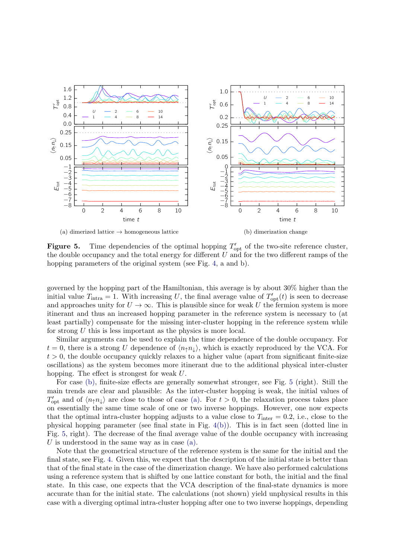<span id="page-11-1"></span>

<span id="page-11-2"></span><span id="page-11-0"></span>**Figure 5.** Time dependencies of the optimal hopping  $T'_{opt}$  of the two-site reference cluster, the double occupancy and the total energy for different  $U$  and for the two different ramps of the hopping parameters of the original system (see Fig. [4,](#page-9-1) a and b).

governed by the hopping part of the Hamiltonian, this average is by about 30% higher than the initial value  $T_{\text{intra}} = 1$ . With increasing U, the final average value of  $T'_{\text{opt}}(t)$  is seen to decrease and approaches unity for  $U \to \infty$ . This is plausible since for weak U the fermion system is more itinerant and thus an increased hopping parameter in the reference system is necessary to (at least partially) compensate for the missing inter-cluster hopping in the reference system while for strong U this is less important as the physics is more local.

Similar arguments can be used to explain the time dependence of the double occupancy. For  $t = 0$ , there is a strong U dependence of  $\langle n_1 n_1 \rangle$ , which is exactly reproduced by the VCA. For  $t > 0$ , the double occupancy quickly relaxes to a higher value (apart from significant finite-size oscillations) as the system becomes more itinerant due to the additional physical inter-cluster hopping. The effect is strongest for weak U.

For case [\(b\),](#page-9-3) finite-size effects are generally somewhat stronger, see Fig. [5](#page-11-0) (right). Still the main trends are clear and plausible: As the inter-cluster hopping is weak, the initial values of  $T'_{\text{opt}}$  and of  $\langle n_{\uparrow}n_{\downarrow}\rangle$  are close to those of case [\(a\).](#page-9-2) For  $t > 0$ , the relaxation process takes place on essentially the same time scale of one or two inverse hoppings. However, one now expects that the optimal intra-cluster hopping adjusts to a value close to  $T_{\text{inter}} = 0.2$ , i.e., close to the physical hopping parameter (see final state in Fig. [4](#page-9-1)[\(b\)\)](#page-9-3). This is in fact seen (dotted line in Fig. [5,](#page-11-0) right). The decrease of the final average value of the double occupancy with increasing U is understood in the same way as in case  $(a)$ .

Note that the geometrical structure of the reference system is the same for the initial and the final state, see Fig. [4.](#page-9-1) Given this, we expect that the description of the initial state is better than that of the final state in the case of the dimerization change. We have also performed calculations using a reference system that is shifted by one lattice constant for both, the initial and the final state. In this case, one expects that the VCA description of the final-state dynamics is more accurate than for the initial state. The calculations (not shown) yield unphysical results in this case with a diverging optimal intra-cluster hopping after one to two inverse hoppings, depending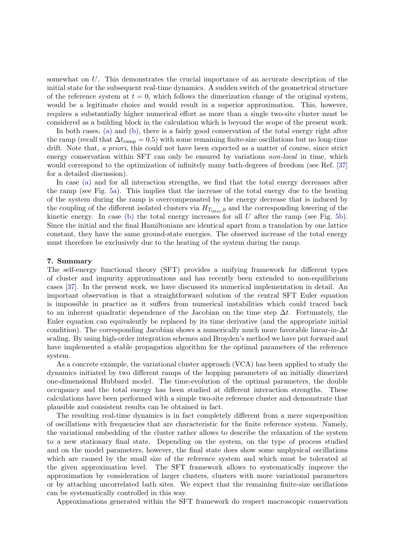somewhat on U. This demonstrates the crucial importance of an accurate description of the initial state for the subsequent real-time dynamics. A sudden switch of the geometrical structure of the reference system at  $t = 0$ , which follows the dimerization change of the original system, would be a legitimate choice and would result in a superior approximation. This, however, requires a substantially higher numerical effort as more than a single two-site cluster must be considered as a building block in the calculation which is beyond the scope of the present work.

In both cases, [\(a\)](#page-9-2) and [\(b\),](#page-9-3) there is a fairly good conservation of the total energy right after the ramp (recall that  $\Delta t_{\text{ramp}} = 0.5$ ) with some remaining finite-size oscillations but no long-time drift. Note that, a priori, this could not have been expected as a matter of course, since strict energy conservation within SFT can only be ensured by variations *non-local* in time, which would correspond to the optimization of infinitely many bath-degrees of freedom (see Ref. [\[37\]](#page-14-1) for a detailed discussion).

In case [\(a\)](#page-9-2) and for all interaction strengths, we find that the total energy decreases after the ramp (see Fig. [5a\)](#page-11-1). This implies that the increase of the total energy due to the heating of the system during the ramp is overcompensated by the energy decrease that is induced by the coupling of the different isolated clusters via  $H_{T_{\text{inter}},0}$  and the corresponding lowering of the kinetic energy. In case [\(b\)](#page-9-3) the total energy increases for all  $U$  after the ramp (see Fig. [5b\)](#page-11-2). Since the initial and the final Hamiltonians are identical apart from a translation by one lattice constant, they have the same ground-state energies. The observed increase of the total energy must therefore be exclusively due to the heating of the system during the ramp.

## <span id="page-12-0"></span>7. Summary

The self-energy functional theory (SFT) provides a unifying framework for different types of cluster and impurity approximations and has recently been extended to non-equilibrium cases [\[37\]](#page-14-1). In the present work, we have discussed its numerical implementation in detail. An important observation is that a straightforward solution of the central SFT Euler equation is impossible in practice as it suffers from numerical instabilities which could traced back to an inherent quadratic dependence of the Jacobian on the time step  $\Delta t$ . Fortunately, the Euler equation can equivalently be replaced by its time derivative (and the appropriate initial condition). The corresponding Jacobian shows a numerically much more favorable linear-in- $\Delta t$ scaling. By using high-order integration schemes and Broyden's method we have put forward and have implemented a stable propagation algorithm for the optimal parameters of the reference system.

As a concrete example, the variational cluster approach (VCA) has been applied to study the dynamics initiated by two different ramps of the hopping parameters of an initially dimerized one-dimensional Hubbard model. The time-evolution of the optimal parameters, the double occupancy and the total energy has been studied at different interaction strengths. These calculations have been performed with a simple two-site reference cluster and demonstrate that plausible and consistent results can be obtained in fact.

The resulting real-time dynamics is in fact completely different from a mere superposition of oscillations with frequencies that are characteristic for the finite reference system. Namely, the variational embedding of the cluster rather allows to describe the relaxation of the system to a new stationary final state. Depending on the system, on the type of process studied and on the model parameters, however, the final state does show some unphysical oscillations which are caused by the small size of the reference system and which must be tolerated at the given approximation level. The SFT framework allows to systematically improve the approximation by consideration of larger clusters, clusters with more variational parameters or by attaching uncorrelated bath sites. We expect that the remaining finite-size oscillations can be systematically controlled in this way.

Approximations generated within the SFT framework do respect macroscopic conservation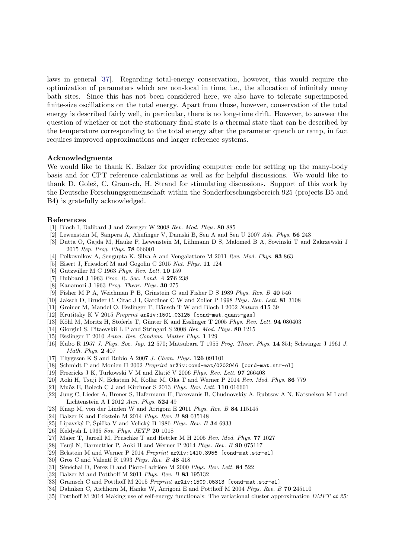laws in general [\[37\]](#page-14-1). Regarding total-energy conservation, however, this would require the optimization of parameters which are non-local in time, i.e., the allocation of infinitely many bath sites. Since this has not been considered here, we also have to tolerate superimposed finite-size oscillations on the total energy. Apart from those, however, conservation of the total energy is described fairly well, in particular, there is no long-time drift. However, to answer the question of whether or not the stationary final state is a thermal state that can be described by the temperature corresponding to the total energy after the parameter quench or ramp, in fact requires improved approximations and larger reference systems.

## Acknowledgments

We would like to thank K. Balzer for providing computer code for setting up the many-body basis and for CPT reference calculations as well as for helpful discussions. We would like to thank D. Golež, C. Gramsch, H. Strand for stimulating discussions. Support of this work by the Deutsche Forschungsgemeinschaft within the Sonderforschungsbereich 925 (projects B5 and B4) is gratefully acknowledged.

## References

- <span id="page-13-0"></span>[1] Bloch I, Dalibard J and Zwerger W 2008 Rev. Mod. Phys. 80 885
- [2] Lewenstein M, Sanpera A, Ahufinger V, Damski B, Sen A and Sen U 2007 Adv. Phys. 56 243
- <span id="page-13-1"></span>[3] Dutta O, Gajda M, Hauke P, Lewenstein M, Lühmann D S, Malomed B A, Sowinski T and Zakrzewski J 2015 Rep. Prog. Phys. 78 066001
- <span id="page-13-2"></span>[4] Polkovnikov A, Sengupta K, Silva A and Vengalattore M 2011 Rev. Mod. Phys. 83 863
- <span id="page-13-3"></span>[5] Eisert J, Friesdorf M and Gogolin C 2015 Nat. Phys. 11 124
- <span id="page-13-4"></span>[6] Gutzwiller M C 1963 Phys. Rev. Lett. 10 159
- [7] Hubbard J 1963 Proc. R. Soc. Lond. A 276 238
- <span id="page-13-5"></span>[8] Kanamori J 1963 Prog. Theor. Phys. 30 275
- <span id="page-13-6"></span>[9] Fisher M P A, Weichman P B, Grinstein G and Fisher D S 1989 Phys. Rev. B 40 546
- [10] Jaksch D, Bruder C, Cirac J I, Gardiner C W and Zoller P 1998 Phys. Rev. Lett. 81 3108
- [11] Greiner M, Mandel O, Esslinger T, Hänsch T W and Bloch I 2002 Nature 415 39
- <span id="page-13-7"></span>[12] Krutitsky K V 2015 Preprint arXiv:1501.03125 [cond-mat.quant-gas]
- <span id="page-13-8"></span>[13] Köhl M, Moritz H, Stöferle T, Günter K and Esslinger T 2005 Phys. Rev. Lett. 94 080403
- [14] Giorgini S, Pitaevskii L P and Stringari S 2008 Rev. Mod. Phys. 80 1215
- <span id="page-13-9"></span>[15] Esslinger T 2010 Annu. Rev. Condens. Matter Phys. 1 129
- <span id="page-13-10"></span>[16] Kubo R 1957 J. Phys. Soc. Jap. 12 570; Matsubara T 1955 Prog. Theor. Phys. 14 351; Schwinger J 1961 J. Math. Phys. 2 407
- <span id="page-13-11"></span>[17] Thygesen K S and Rubio A 2007 J. Chem. Phys. 126 091101
- <span id="page-13-22"></span>[18] Schmidt P and Monien H 2002 Preprint  $arXiv:cond-mat/0202046$  [cond-mat.str-el]
- <span id="page-13-23"></span>[19] Freericks J K, Turkowski V M and Zlatić V 2006 Phys. Rev. Lett.  $97\ 266408$
- [20] Aoki H, Tsuji N, Eckstein M, Kollar M, Oka T and Werner P 2014 Rev. Mod. Phys. 86 779
- [21] Muõz E, Bolech C J and Kirchner S 2013 Phys. Rev. Lett. 110 016601
- [22] Jung C, Lieder A, Brener S, Hafermann H, Baxevanis B, Chudnovskiy A, Rubtsov A N, Katsnelson M I and Lichtenstein A I 2012 Ann. Phys. 524 49
- [23] Knap M, von der Linden W and Arrigoni E 2011 Phys. Rev. B 84 115145
- [24] Balzer K and Eckstein M 2014 Phys. Rev. B 89 035148
- <span id="page-13-12"></span>[25] Lipavský P, Špička V and Velický B 1986 Phys. Rev. B  $34\,6933$
- <span id="page-13-13"></span>[26] Keldysh L 1965 Sov. Phys. JETP 20 1018
- <span id="page-13-14"></span>[27] Maier T, Jarrell M, Pruschke T and Hettler M H 2005 Rev. Mod. Phys. 77 1027
- <span id="page-13-15"></span>[28] Tsuji N, Barmettler P, Aoki H and Werner P 2014 Phys. Rev. B 90 075117
- <span id="page-13-16"></span>[29] Eckstein M and Werner P 2014 Preprint arXiv:1410.3956 [cond-mat.str-el]
- <span id="page-13-17"></span>[30] Gros C and Valentí R 1993 Phys. Rev. B 48 418
- [31] Sénéchal D, Perez D and Pioro-Ladrière M 2000 Phys. Rev. Lett. 84 522
- <span id="page-13-19"></span>[32] Balzer M and Potthoff M 2011 Phys. Rev. B 83 195132
- <span id="page-13-18"></span>[33] Gramsch C and Potthoff M 2015 Preprint  $arXiv:1509.05313$  [cond-mat.str-el]
- <span id="page-13-20"></span>[34] Dahnken C, Aichhorn M, Hanke W, Arrigoni E and Potthoff M 2004 Phys. Rev. B 70 245110
- <span id="page-13-21"></span>[35] Potthoff M 2014 Making use of self-energy functionals: The variational cluster approximation DMFT at 25: